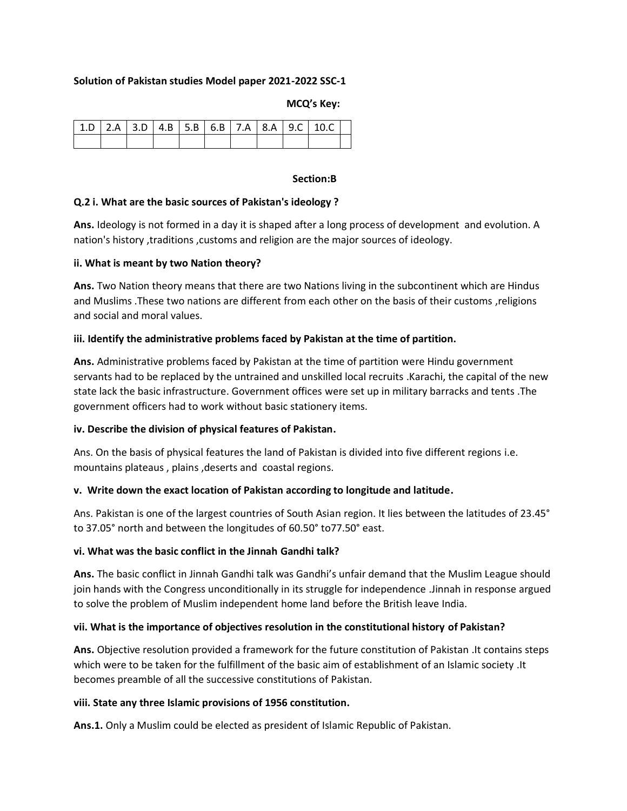## **Solution of Pakistan studies Model paper 2021-2022 SSC-1**

#### **MCQ's Key:**

|  |  |  |  | $1.5$   2.A   3.D   4.B   5.B   6.B   7.A   8.A   9.C   10.C |  |
|--|--|--|--|--------------------------------------------------------------|--|
|  |  |  |  |                                                              |  |

#### **Section:B**

#### **Q.2 i. What are the basic sources of Pakistan's ideology ?**

**Ans.** Ideology is not formed in a day it is shaped after a long process of development and evolution. A nation's history ,traditions ,customs and religion are the major sources of ideology.

#### **ii. What is meant by two Nation theory?**

**Ans.** Two Nation theory means that there are two Nations living in the subcontinent which are Hindus and Muslims .These two nations are different from each other on the basis of their customs ,religions and social and moral values.

## **iii. Identify the administrative problems faced by Pakistan at the time of partition.**

**Ans.** Administrative problems faced by Pakistan at the time of partition were Hindu government servants had to be replaced by the untrained and unskilled local recruits .Karachi, the capital of the new state lack the basic infrastructure. Government offices were set up in military barracks and tents .The government officers had to work without basic stationery items.

#### **iv. Describe the division of physical features of Pakistan.**

Ans. On the basis of physical features the land of Pakistan is divided into five different regions i.e. mountains plateaus , plains ,deserts and coastal regions.

#### **v. Write down the exact location of Pakistan according to longitude and latitude.**

Ans. Pakistan is one of the largest countries of South Asian region. It lies between the latitudes of 23.45° to 37.05° north and between the longitudes of 60.50° to77.50° east.

#### **vi. What was the basic conflict in the Jinnah Gandhi talk?**

**Ans.** The basic conflict in Jinnah Gandhi talk was Gandhi's unfair demand that the Muslim League should join hands with the Congress unconditionally in its struggle for independence .Jinnah in response argued to solve the problem of Muslim independent home land before the British leave India.

#### **vii. What is the importance of objectives resolution in the constitutional history of Pakistan?**

**Ans.** Objective resolution provided a framework for the future constitution of Pakistan .It contains steps which were to be taken for the fulfillment of the basic aim of establishment of an Islamic society .It becomes preamble of all the successive constitutions of Pakistan.

#### **viii. State any three Islamic provisions of 1956 constitution.**

**Ans.1.** Only a Muslim could be elected as president of Islamic Republic of Pakistan.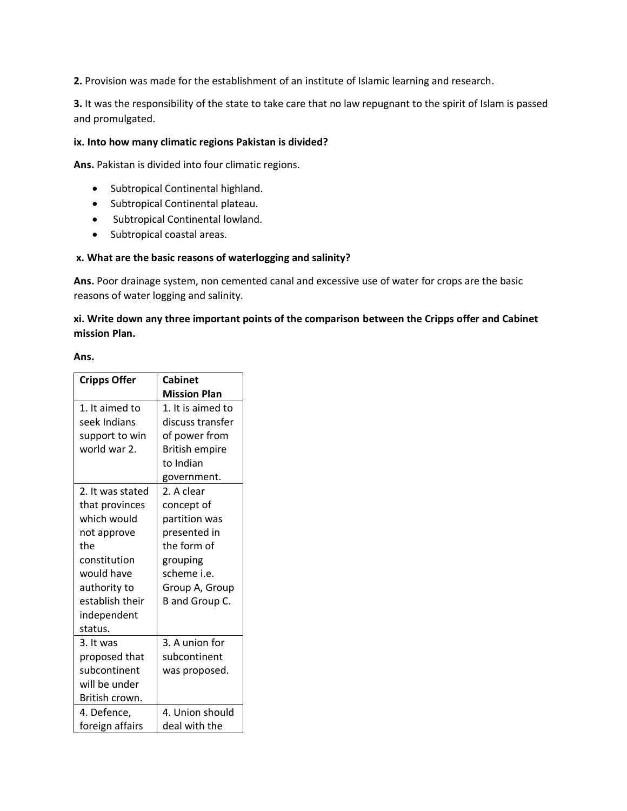**2.** Provision was made for the establishment of an institute of Islamic learning and research.

**3.** It was the responsibility of the state to take care that no law repugnant to the spirit of Islam is passed and promulgated.

# **ix. Into how many climatic regions Pakistan is divided?**

**Ans.** Pakistan is divided into four climatic regions.

- Subtropical Continental highland.
- Subtropical Continental plateau.
- Subtropical Continental lowland.
- Subtropical coastal areas.

## **x. What are the basic reasons of waterlogging and salinity?**

**Ans.** Poor drainage system, non cemented canal and excessive use of water for crops are the basic reasons of water logging and salinity.

# **xi. Write down any three important points of the comparison between the Cripps offer and Cabinet mission Plan.**

#### **Ans.**

| <b>Cripps Offer</b> | <b>Cabinet</b>        |
|---------------------|-----------------------|
|                     | <b>Mission Plan</b>   |
| 1. It aimed to      | 1. It is aimed to     |
| seek Indians        | discuss transfer      |
| support to win      | of power from         |
| world war 2.        | <b>British empire</b> |
|                     | to Indian             |
|                     | government.           |
| 2. It was stated    | 2. A clear            |
| that provinces      | concept of            |
| which would         | partition was         |
| not approve         | presented in          |
| the                 | the form of           |
| constitution        | grouping              |
| would have          | scheme i.e.           |
| authority to        | Group A, Group        |
| establish their     | B and Group C.        |
| independent         |                       |
| status.             |                       |
| 3. It was           | 3. A union for        |
| proposed that       | subcontinent          |
| subcontinent        | was proposed.         |
| will be under       |                       |
| British crown.      |                       |
| 4. Defence,         | 4. Union should       |
| foreign affairs     | deal with the         |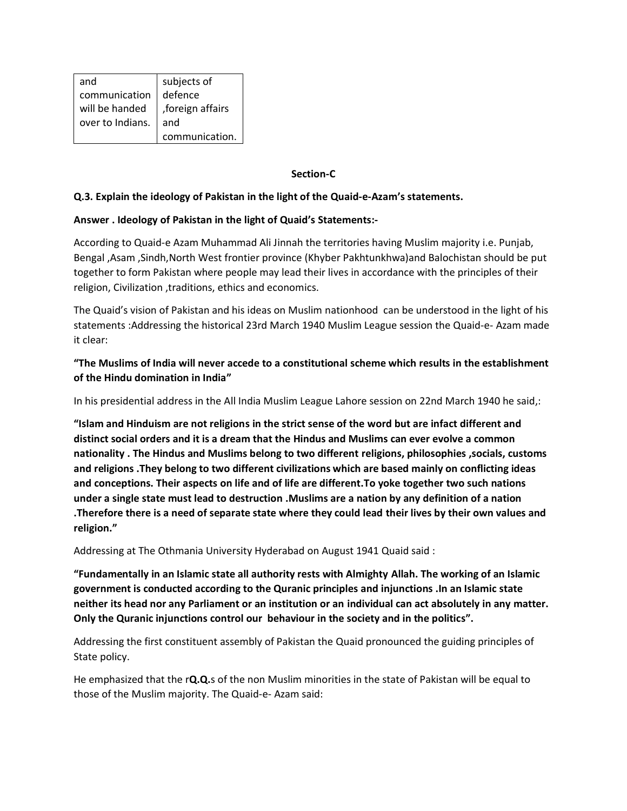| and              | subjects of       |
|------------------|-------------------|
| communication    | defence           |
| will be handed   | , foreign affairs |
| over to Indians. | and               |
|                  | communication.    |

## **Section-C**

## **Q.3. Explain the ideology of Pakistan in the light of the Quaid-e-Azam's statements.**

## **Answer . Ideology of Pakistan in the light of Quaid's Statements:-**

According to Quaid-e Azam Muhammad Ali Jinnah the territories having Muslim majority i.e. Punjab, Bengal ,Asam ,Sindh,North West frontier province (Khyber Pakhtunkhwa)and Balochistan should be put together to form Pakistan where people may lead their lives in accordance with the principles of their religion, Civilization , traditions, ethics and economics.

The Quaid's vision of Pakistan and his ideas on Muslim nationhood can be understood in the light of his statements :Addressing the historical 23rd March 1940 Muslim League session the Quaid-e- Azam made it clear:

**"The Muslims of India will never accede to a constitutional scheme which results in the establishment of the Hindu domination in India"**

In his presidential address in the All India Muslim League Lahore session on 22nd March 1940 he said,:

**"Islam and Hinduism are not religions in the strict sense of the word but are infact different and distinct social orders and it is a dream that the Hindus and Muslims can ever evolve a common nationality . The Hindus and Muslims belong to two different religions, philosophies ,socials, customs and religions .They belong to two different civilizations which are based mainly on conflicting ideas and conceptions. Their aspects on life and of life are different.To yoke together two such nations under a single state must lead to destruction .Muslims are a nation by any definition of a nation .Therefore there is a need of separate state where they could lead their lives by their own values and religion."**

Addressing at The Othmania University Hyderabad on August 1941 Quaid said :

**"Fundamentally in an Islamic state all authority rests with Almighty Allah. The working of an Islamic government is conducted according to the Quranic principles and injunctions .In an Islamic state neither its head nor any Parliament or an institution or an individual can act absolutely in any matter. Only the Quranic injunctions control our behaviour in the society and in the politics".**

Addressing the first constituent assembly of Pakistan the Quaid pronounced the guiding principles of State policy.

He emphasized that the r**Q.Q.**s of the non Muslim minorities in the state of Pakistan will be equal to those of the Muslim majority. The Quaid-e- Azam said: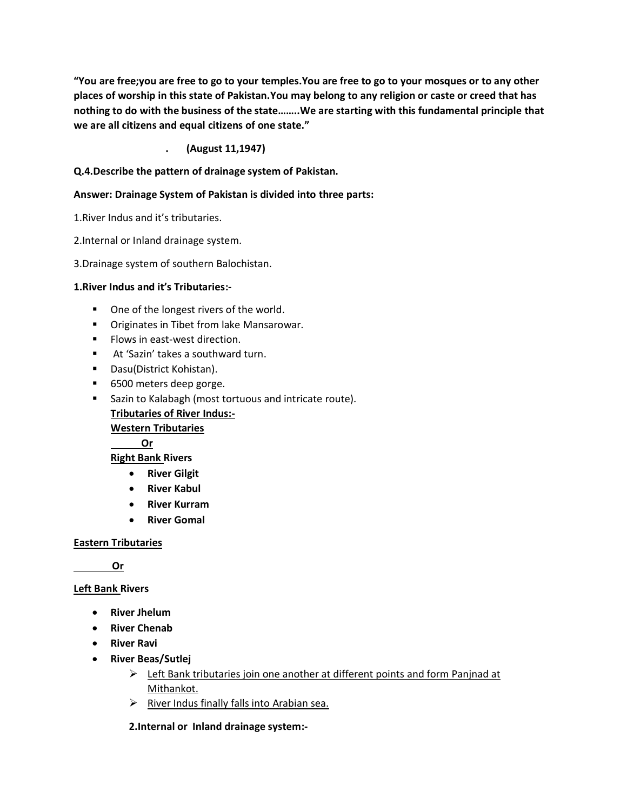**"You are free;you are free to go to your temples.You are free to go to your mosques or to any other places of worship in this state of Pakistan.You may belong to any religion or caste or creed that has nothing to do with the business of the state……..We are starting with this fundamental principle that we are all citizens and equal citizens of one state."**

# **. (August 11,1947)**

# **Q.4.Describe the pattern of drainage system of Pakistan.**

# **Answer: Drainage System of Pakistan is divided into three parts:**

1.River Indus and it's tributaries.

2.Internal or Inland drainage system.

3.Drainage system of southern Balochistan.

## **1.River Indus and it's Tributaries:-**

- One of the longest rivers of the world.
- Originates in Tibet from lake Mansarowar.
- Flows in east-west direction.
- At 'Sazin' takes a southward turn.
- Dasu(District Kohistan).
- 6500 meters deep gorge.
- Sazin to Kalabagh (most tortuous and intricate route). **Tributaries of River Indus:-**

**Western Tributaries**

 **Or**

**Right Bank Rivers**

- **River Gilgit**
- **River Kabul**
- **River Kurram**
- **River Gomal**

#### **Eastern Tributaries**

 **Or**

#### **Left Bank Rivers**

- **River Jhelum**
- **River Chenab**
- **River Ravi**
- **River Beas/Sutlej**
	- ➢ Left Bank tributaries join one another at different points and form Panjnad at Mithankot.
	- ➢ River Indus finally falls into Arabian sea.

#### **2.Internal or Inland drainage system:-**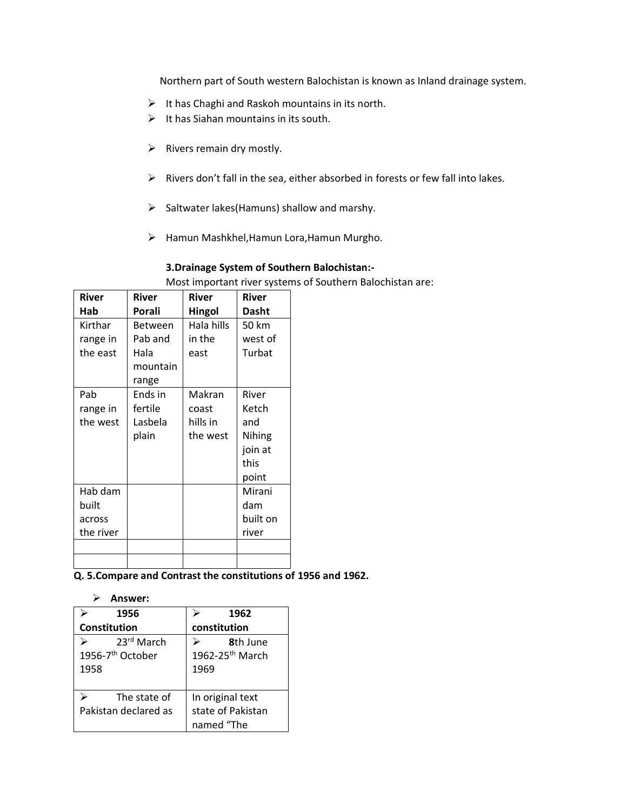Northern part of South western Balochistan is known as Inland drainage system.

- $\triangleright$  It has Chaghi and Raskoh mountains in its north.
- $\triangleright$  It has Siahan mountains in its south.
- $\triangleright$  Rivers remain dry mostly.
- ➢ Rivers don't fall in the sea, either absorbed in forests or few fall into lakes.
- $\triangleright$  Saltwater lakes(Hamuns) shallow and marshy.
- ➢ Hamun Mashkhel,Hamun Lora,Hamun Murgho.

## **3.Drainage System of Southern Balochistan:-**

Most important river systems of Southern Balochistan are:

| River     | River          | <b>River</b> | River    |
|-----------|----------------|--------------|----------|
| Hab       | Porali         | Hingol       | Dasht    |
| Kirthar   | <b>Between</b> | Hala hills   | 50 km    |
| range in  | Pab and        | in the       | west of  |
| the east  | Hala           | east         | Turbat   |
|           | mountain       |              |          |
|           | range          |              |          |
| Pab       | Ends in        | Makran       | River    |
| range in  | fertile        | coast        | Ketch    |
| the west  | Lasbela        | hills in     | and      |
|           | plain          | the west     | Nihing   |
|           |                |              | join at  |
|           |                |              | this     |
|           |                |              | point    |
| Hab dam   |                |              | Mirani   |
| built     |                |              | dam      |
| across    |                |              | built on |
| the river |                |              | river    |
|           |                |              |          |
|           |                |              |          |

**Q. 5.Compare and Contrast the constitutions of 1956 and 1962.**

| ⋗<br>Answer:                        |                             |
|-------------------------------------|-----------------------------|
| 1956                                | 1962                        |
| Constitution                        | constitution                |
| 23rd March<br>$\blacktriangleright$ | 8th lune                    |
| 1956-7 <sup>th</sup> October        | 1962-25 <sup>th</sup> March |
| 1958                                | 1969                        |
|                                     |                             |
| The state of                        | In original text            |
| Pakistan declared as                | state of Pakistan           |
|                                     | named "The                  |